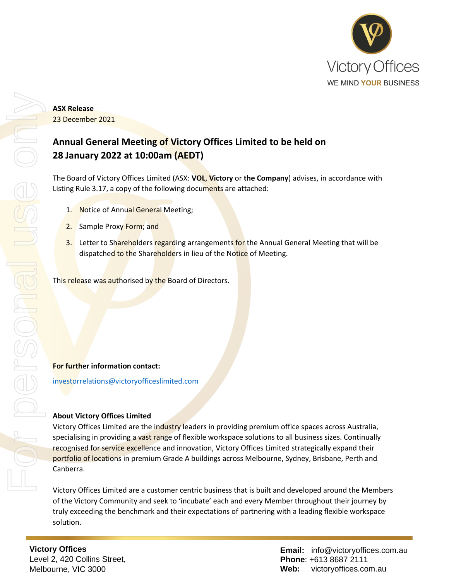

# **ASX Release**  23 December 2021

# **Annual General Meeting of Victory Offices Limited to be held on 28 January 2022 at 10:00am (AEDT)**

The Board of Victory Offices Limited (ASX: **VOL**, **Victory** or **the Company**) advises, in accordance with Listing Rule 3.17, a copy of the following documents are attached:

- 1. Notice of Annual General Meeting;
- 2. Sample Proxy Form; and
- 3. Letter to Shareholders regarding arrangements for the Annual General Meeting that will be dispatched to the Shareholders in lieu of the Notice of Meeting.

This release was authorised by the Board of Directors.

### **For further information contact:**

[investorrelations@victoryofficeslimited.com](mailto:investorrelations@victoryofficeslimited.com)

# **About Victory Offices Limited**

Victory Offices Limited are the industry leaders in providing premium office spaces across Australia, specialising in providing a vast range of flexible workspace solutions to all business sizes. Continually recognised for service excellence and innovation, Victory Offices Limited strategically expand their portfolio of locations in premium Grade A buildings across Melbourne, Sydney, Brisbane, Perth and Canberra.

Victory Offices Limited are a customer centric business that is built and developed around the Members of the Victory Community and seek to 'incubate' each and every Member throughout their journey by truly exceeding the benchmark and their expectations of partnering with a leading flexible workspace solution.

**Victory Offices**  Level 2, 420 Collins Street, Melbourne, VIC 3000

**Email:** info@victoryoffices.com.au **Phone**: +613 8687 2111 **Web:** victoryoffices.com.au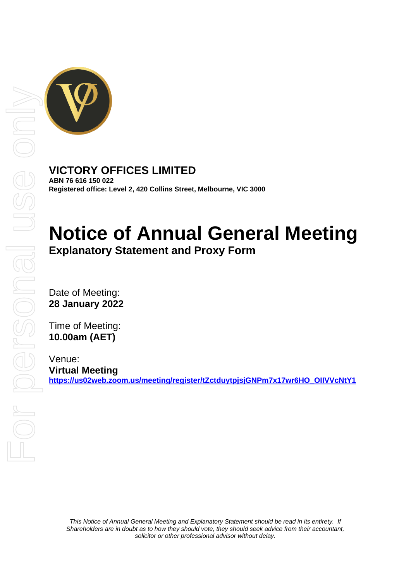

# **VICTORY OFFICES LIMITED**

**ABN 76 616 150 022 Registered office: Level 2, 420 Collins Street, Melbourne, VIC 3000**

# **Notice of Annual General Meeting Explanatory Statement and Proxy Form**

Date of Meeting: **28 January 2022**

Time of Meeting: **10.00am (AET)**

Venue: **Virtual Meeting [https://us02web.zoom.us/meeting/register/tZctduytpjsjGNPm7x17wr6HO\\_OIIVVcNtY1](https://us02web.zoom.us/meeting/register/tZctduytpjsjGNPm7x17wr6HO_OIIVVcNtY1)**

*This Notice of Annual General Meeting and Explanatory Statement should be read in its entirety. If Shareholders are in doubt as to how they should vote, they should seek advice from their accountant, solicitor or other professional advisor without delay.*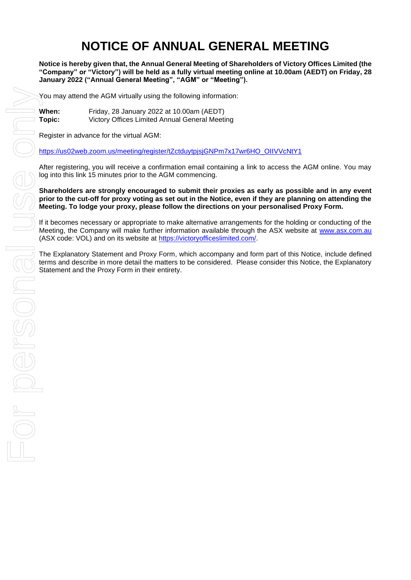# **NOTICE OF ANNUAL GENERAL MEETING**

**Notice is hereby given that, the Annual General Meeting of Shareholders of Victory Offices Limited (the "Company" or "Victory") will be held as a fully virtual meeting online at 10.00am (AEDT) on Friday, 28 January 2022 ("Annual General Meeting", "AGM" or "Meeting").**

You may attend the AGM virtually using the following information:

**When:** Friday, 28 January 2022 at 10.00am (AEDT) **Topic:** Victory Offices Limited Annual General Meeting

Register in advance for the virtual AGM:

[https://us02web.zoom.us/meeting/register/tZctduytpjsjGNPm7x17wr6HO\\_OIIVVcNtY1](https://us02web.zoom.us/meeting/register/tZctduytpjsjGNPm7x17wr6HO_OIIVVcNtY1)

After registering, you will receive a confirmation email containing a link to access the AGM online. You may log into this link 15 minutes prior to the AGM commencing.

**Shareholders are strongly encouraged to submit their proxies as early as possible and in any event prior to the cut-off for proxy voting as set out in the Notice, even if they are planning on attending the Meeting. To lodge your proxy, please follow the directions on your personalised Proxy Form.** 

If it becomes necessary or appropriate to make alternative arrangements for the holding or conducting of the Meeting, the Company will make further information available through the ASX website at [www.asx.com.au](http://www.asx.com.au/) (ASX code: VOL) and on its website at [https://victoryofficeslimited.com/.](https://victoryofficeslimited.com/)

The Explanatory Statement and Proxy Form, which accompany and form part of this Notice, include defined terms and describe in more detail the matters to be considered. Please consider this Notice, the Explanatory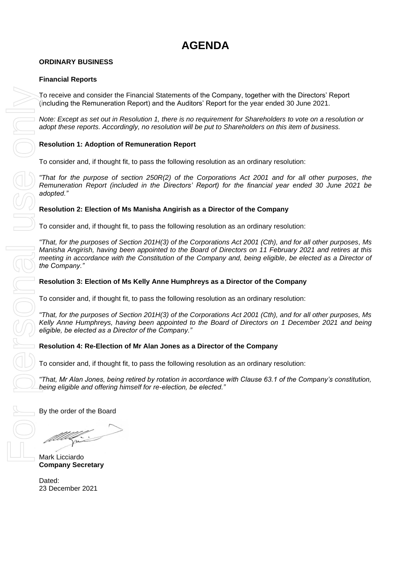# **AGENDA**

# **ORDINARY BUSINESS**

## **Financial Reports**

To receive and consider the Financial Statements of the Company, together with the Directors' Report (including the Remuneration Report) and the Auditors' Report for the year ended 30 June 2021.

*Note: Except as set out in Resolution 1, there is no requirement for Shareholders to vote on a resolution or adopt these reports. Accordingly, no resolution will be put to Shareholders on this item of business.* 

# **Resolution 1: Adoption of Remuneration Report**

To consider and, if thought fit, to pass the following resolution as an ordinary resolution:

*"That for the purpose of section 250R(2) of the Corporations Act 2001 and for all other purposes, the Remuneration Report (included in the Directors' Report) for the financial year ended 30 June 2021 be adopted."*

### **Resolution 2: Election of Ms Manisha Angirish as a Director of the Company**

To consider and, if thought fit, to pass the following resolution as an ordinary resolution:

*"That, for the purposes of Section 201H(3) of the Corporations Act 2001 (Cth), and for all other purposes, Ms Manisha Angirish, having been appointed to the Board of Directors on 11 February 2021 and retires at this meeting in accordance with the Constitution of the Company and, being eligible, be elected as a Director of the Company."*

### **Resolution 3: Election of Ms Kelly Anne Humphreys as a Director of the Company**

To consider and, if thought fit, to pass the following resolution as an ordinary resolution:

*"That, for the purposes of Section 201H(3) of the Corporations Act 2001 (Cth), and for all other purposes, Ms Kelly Anne Humphreys, having been appointed to the Board of Directors on 1 December 2021 and being eligible, be elected as a Director of the Company."*

### **Resolution 4: Re-Election of Mr Alan Jones as a Director of the Company**

To consider and, if thought fit, to pass the following resolution as an ordinary resolution:

*"That, Mr Alan Jones, being retired by rotation in accordance with Clause 63.1 of the Company's constitution, being eligible and offering himself for re-election, be elected."*

By the order of the Board

Mark Licciardo **Company Secretary**

Dated: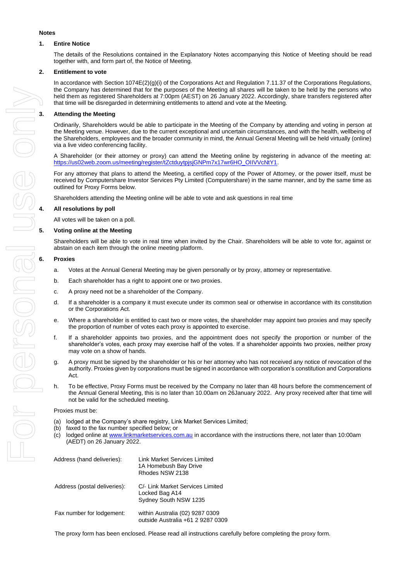# **1. Entire Notice**

**Notes**

The details of the Resolutions contained in the Explanatory Notes accompanying this Notice of Meeting should be read together with, and form part of, the Notice of Meeting.

#### **2. Entitlement to vote**

In accordance with Section 1074E(2)(g)(i) of the Corporations Act and Regulation 7.11.37 of the Corporations Regulations, the Company has determined that for the purposes of the Meeting all shares will be taken to be held by the persons who held them as registered Shareholders at 7:00pm (AEST) on 26 January 2022. Accordingly, share transfers registered after that time will be disregarded in determining entitlements to attend and vote at the Meeting.

Ordinarily, Shareholders would be able to participate in the Meeting of the Company by attending and voting in person at the Meeting venue. However, due to the current exceptional and uncertain circumstances, and with the health, wellbeing of the Shareholders, employees and the broader community in mind, the Annual General Meeting will be held virtually (online) via a live video conferencing facility.

A Shareholder (or their attorney or proxy) can attend the Meeting online by registering in advance of the meeting at: [https://us02web.zoom.us/meeting/register/tZctduytpjsjGNPm7x17wr6HO\\_OIIVVcNtY1.](https://us02web.zoom.us/meeting/register/tZctduytpjsjGNPm7x17wr6HO_OIIVVcNtY1)

For any attorney that plans to attend the Meeting, a certified copy of the Power of Attorney, or the power itself, must be received by Computershare Investor Services Pty Limited (Computershare) in the same manner, and by the same time as outlined for Proxy Forms below.

Shareholders attending the Meeting online will be able to vote and ask questions in real time

#### **4. All resolutions by poll**

All votes will be taken on a poll.

#### **5. Voting online at the Meeting**

Shareholders will be able to vote in real time when invited by the Chair. Shareholders will be able to vote for, against or abstain on each item through the online meeting platform.

#### **6. Proxies**

- a. Votes at the Annual General Meeting may be given personally or by proxy, attorney or representative.
- b. Each shareholder has a right to appoint one or two proxies.
- c. A proxy need not be a shareholder of the Company.
- d. If a shareholder is a company it must execute under its common seal or otherwise in accordance with its constitution or the Corporations Act.
- e. Where a shareholder is entitled to cast two or more votes, the shareholder may appoint two proxies and may specify the proportion of number of votes each proxy is appointed to exercise.
- f. If a shareholder appoints two proxies, and the appointment does not specify the proportion or number of the shareholder's votes, each proxy may exercise half of the votes. If a shareholder appoints two proxies, neither proxy may vote on a show of hands.
- g. A proxy must be signed by the shareholder or his or her attorney who has not received any notice of revocation of the authority. Proxies given by corporations must be signed in accordance with corporation's constitution and Corporations Act.
- h. To be effective, Proxy Forms must be received by the Company no later than 48 hours before the commencement of the Annual General Meeting, this is no later than 10.00am on 26January 2022. Any proxy received after that time will not be valid for the scheduled meeting.

#### Proxies must be:

- (a) lodged at the Company's share registry, Link Market Services Limited;
- (b) faxed to the fax number specified below; or
- (c) lodged online at [www.linkmarketservices.com.au](http://www.linkmarketservices.com.au/) in accordance with the instructions there, not later than 10:00am (AEDT) on 26 January 2022.

| Address (hand deliveries):   | Link Market Services Limited<br>1A Homebush Bay Drive<br>Rhodes NSW 2138    |
|------------------------------|-----------------------------------------------------------------------------|
| Address (postal deliveries): | C/- Link Market Services Limited<br>Locked Bag A14<br>Sydney South NSW 1235 |
| Fax number for lodgement:    | within Australia (02) 9287 0309<br>outside Australia +61 2 9287 0309        |

The proxy form has been enclosed. Please read all instructions carefully before completing the proxy form.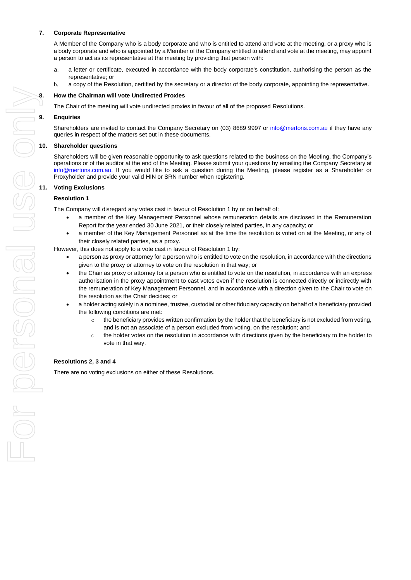#### **7. Corporate Representative**

A Member of the Company who is a body corporate and who is entitled to attend and vote at the meeting, or a proxy who is a body corporate and who is appointed by a Member of the Company entitled to attend and vote at the meeting, may appoint a person to act as its representative at the meeting by providing that person with:

- a. a letter or certificate, executed in accordance with the body corporate's constitution, authorising the person as the representative; or
- b. a copy of the Resolution, certified by the secretary or a director of the body corporate, appointing the representative.

The Chair of the meeting will vote undirected proxies in favour of all of the proposed Resolutions.

#### **9. Enquiries**

Shareholders are invited to contact the Company Secretary on (03) 8689 9997 or [info@mertons.com.au](mailto:info@mertons.com.au) if they have any queries in respect of the matters set out in these documents.

#### **10. Shareholder questions**

Shareholders will be given reasonable opportunity to ask questions related to the business on the Meeting, the Company's operations or of the auditor at the end of the Meeting. Please submit your questions by emailing the Company Secretary at [info@mertons.com.au.](mailto:info@mertons.com.au) If you would like to ask a question during the Meeting, please register as a Shareholder or Proxyholder and provide your valid HIN or SRN number when registering.

#### **11. Voting Exclusions**

#### **Resolution 1**

The Company will disregard any votes cast in favour of Resolution 1 by or on behalf of:

- a member of the Key Management Personnel whose remuneration details are disclosed in the Remuneration Report for the year ended 30 June 2021, or their closely related parties, in any capacity; or
- a member of the Key Management Personnel as at the time the resolution is voted on at the Meeting, or any of their closely related parties, as a proxy.

However, this does not apply to a vote cast in favour of Resolution 1 by:

- a person as proxy or attorney for a person who is entitled to vote on the resolution, in accordance with the directions given to the proxy or attorney to vote on the resolution in that way; or
- the Chair as proxy or attorney for a person who is entitled to vote on the resolution, in accordance with an express authorisation in the proxy appointment to cast votes even if the resolution is connected directly or indirectly with the remuneration of Key Management Personnel, and in accordance with a direction given to the Chair to vote on the resolution as the Chair decides; or
- a holder acting solely in a nominee, trustee, custodial or other fiduciary capacity on behalf of a beneficiary provided the following conditions are met:
	- $\circ$  the beneficiary provides written confirmation by the holder that the beneficiary is not excluded from voting, and is not an associate of a person excluded from voting, on the resolution; and
	- o the holder votes on the resolution in accordance with directions given by the beneficiary to the holder to vote in that way.

#### **Resolutions 2, 3 and 4**

There are no voting exclusions on either of these Resolutions.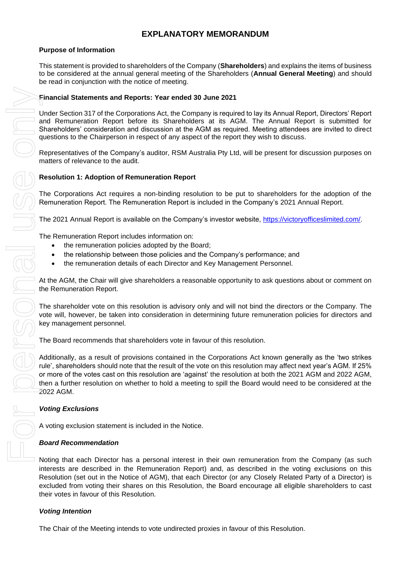# **EXPLANATORY MEMORANDUM**

## **Purpose of Information**

This statement is provided to shareholders of the Company (**Shareholders**) and explains the items of business to be considered at the annual general meeting of the Shareholders (**Annual General Meeting**) and should be read in conjunction with the notice of meeting.

## **Financial Statements and Reports: Year ended 30 June 2021**

Under Section 317 of the Corporations Act, the Company is required to lay its Annual Report, Directors' Report and Remuneration Report before its Shareholders at its AGM. The Annual Report is submitted for Shareholders' consideration and discussion at the AGM as required. Meeting attendees are invited to direct questions to the Chairperson in respect of any aspect of the report they wish to discuss.

Representatives of the Company's auditor, RSM Australia Pty Ltd, will be present for discussion purposes on matters of relevance to the audit.

# **Resolution 1: Adoption of Remuneration Report**

The Corporations Act requires a non-binding resolution to be put to shareholders for the adoption of the Remuneration Report. The Remuneration Report is included in the Company's 2021 Annual Report.

The 2021 Annual Report is available on the Company's investor website, [https://victoryofficeslimited.com/.](https://victoryofficeslimited.com/)

- the remuneration policies adopted by the Board;
- the relationship between those policies and the Company's performance; and
- the remuneration details of each Director and Key Management Personnel.

At the AGM, the Chair will give shareholders a reasonable opportunity to ask questions about or comment on the Remuneration Report.

The Remuneration Report includes information on:<br>
• the remuneration policies adopted by the E<br>
• the relationship between those policies and<br>
• the remuneration details of each Director a<br>
At the AGM, the Chair will give The shareholder vote on this resolution is advisory only and will not bind the directors or the Company. The vote will, however, be taken into consideration in determining future remuneration policies for directors and key management personnel.

The Board recommends that shareholders vote in favour of this resolution.

Additionally, as a result of provisions contained in the Corporations Act known generally as the 'two strikes rule', shareholders should note that the result of the vote on this resolution may affect next year's AGM. If 25% or more of the votes cast on this resolution are 'against' the resolution at both the 2021 AGM and 2022 AGM, then a further resolution on whether to hold a meeting to spill the Board would need to be considered at the 2022 AGM.

### *Voting Exclusions*

A voting exclusion statement is included in the Notice.

### *Board Recommendation*

Noting that each Director has a personal interest in their own remuneration from the Company (as such interests are described in the Remuneration Report) and, as described in the voting exclusions on this Resolution (set out in the Notice of AGM), that each Director (or any Closely Related Party of a Director) is excluded from voting their shares on this Resolution, the Board encourage all eligible shareholders to cast their votes in favour of this Resolution.

### *Voting Intention*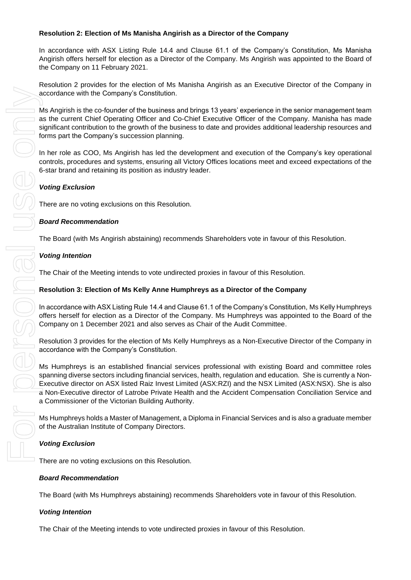# **Resolution 2: Election of Ms Manisha Angirish as a Director of the Company**

In accordance with ASX Listing Rule 14.4 and Clause 61.1 of the Company's Constitution, Ms Manisha Angirish offers herself for election as a Director of the Company. Ms Angirish was appointed to the Board of the Company on 11 February 2021.

Resolution 2 provides for the election of Ms Manisha Angirish as an Executive Director of the Company in accordance with the Company's Constitution.

Ms Angirish is the co-founder of the business and brings 13 years' experience in the senior management team as the current Chief Operating Officer and Co-Chief Executive Officer of the Company. Manisha has made significant contribution to the growth of the business to date and provides additional leadership resources and forms part the Company's succession planning.

In her role as COO, Ms Angirish has led the development and execution of the Company's key operational controls, procedures and systems, ensuring all Victory Offices locations meet and exceed expectations of the 6-star brand and retaining its position as industry leader.

# *Voting Exclusion*

There are no voting exclusions on this Resolution.

### *Board Recommendation*

The Board (with Ms Angirish abstaining) recommends Shareholders vote in favour of this Resolution.

### *Voting Intention*

The Chair of the Meeting intends to vote undirected proxies in favour of this Resolution.

#### **Resolution 3: Election of Ms Kelly Anne Humphreys as a Director of the Company**

In accordance with ASX Listing Rule 14.4 and Clause 61.1 of the Company's Constitution, Ms Kelly Humphreys offers herself for election as a Director of the Company. Ms Humphreys was appointed to the Board of the Company on 1 December 2021 and also serves as Chair of the Audit Committee.

Resolution 3 provides for the election of Ms Kelly Humphreys as a Non-Executive Director of the Company in accordance with the Company's Constitution.

Ms Humphreys is an established financial services professional with existing Board and committee roles spanning diverse sectors including financial services, health, regulation and education. She is currently a Non-Executive director on ASX listed Raiz Invest Limited (ASX:RZI) and the NSX Limited (ASX:NSX). She is also a Non-Executive director of Latrobe Private Health and the Accident Compensation Conciliation Service and a Commissioner of the Victorian Building Authority.

Ms Humphreys holds a Master of Management, a Diploma in Financial Services and is also a graduate member of the Australian Institute of Company Directors.

### *Voting Exclusion*

There are no voting exclusions on this Resolution.

#### *Board Recommendation*

The Board (with Ms Humphreys abstaining) recommends Shareholders vote in favour of this Resolution.

### *Voting Intention*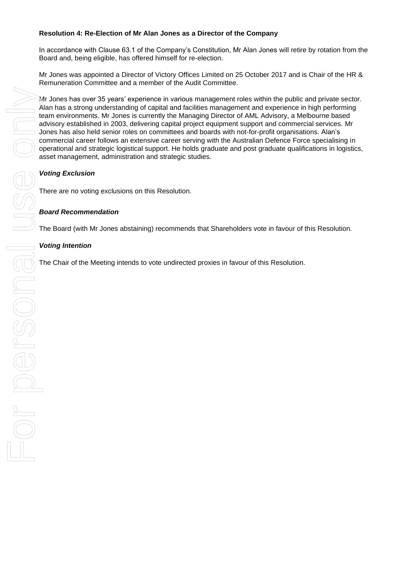## **Resolution 4: Re-Election of Mr Alan Jones as a Director of the Company**

In accordance with Clause 63.1 of the Company's Constitution, Mr Alan Jones will retire by rotation from the Board and, being eligible, has offered himself for re-election.

Mr Jones was appointed a Director of Victory Offices Limited on 25 October 2017 and is Chair of the HR & Remuneration Committee and a member of the Audit Committee.

Mr Jones has over 35 years' experience in various management roles within the public and private sector. Alan has a strong understanding of capital and facilities management and experience in high performing team environments. Mr Jones is currently the Managing Director of AML Advisory, a Melbourne based advisory established in 2003, delivering capital project equipment support and commercial services. Mr Jones has also held senior roles on committees and boards with not-for-profit organisations. Alan's commercial career follows an extensive career serving with the Australian Defence Force specialising in operational and strategic logistical support. He holds graduate and post graduate qualifications in logistics, asset management, administration and strategic studies. Mr Jones has over 35 years' experience in various management roles within the public Alah has a strong understanding of capital and facilities management and experience in the Meeting intends of the Meeting of the Meeting

# *Voting Exclusion*

There are no voting exclusions on this Resolution.

### *Board Recommendation*

The Board (with Mr Jones abstaining) recommends that Shareholders vote in favour of this Resolution.

### *Voting Intention*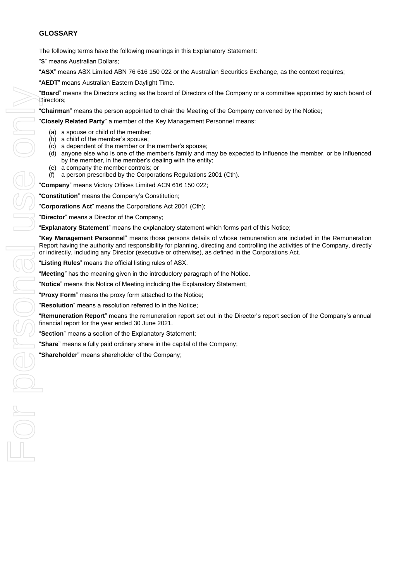## **GLOSSARY**

The following terms have the following meanings in this Explanatory Statement:

"**\$**" means Australian Dollars;

"**ASX**" means ASX Limited ABN 76 616 150 022 or the Australian Securities Exchange, as the context requires;

"**AEDT**" means Australian Eastern Daylight Time.

"**Board**" means the Directors acting as the board of Directors of the Company or a committee appointed by such board of Directors;

"**Chairman**" means the person appointed to chair the Meeting of the Company convened by the Notice;

"**Closely Related Party**" a member of the Key Management Personnel means:

- (a) a spouse or child of the member;
- (b) a child of the member's spouse;
- (c) a dependent of the member or the member's spouse;
- (d) anyone else who is one of the member's family and may be expected to influence the member, or be influenced by the member, in the member's dealing with the entity;
- (e) a company the member controls; or
- (f) a person prescribed by the Corporations Regulations 2001 (Cth).

"**Company**" means Victory Offices Limited ACN 616 150 022;

"**Constitution**" means the Company's Constitution;

"**Corporations Act**" means the Corporations Act 2001 (Cth);

"**Director**" means a Director of the Company;

"**Explanatory Statement**" means the explanatory statement which forms part of this Notice;

"**Key Management Personnel**" means those persons details of whose remuneration are included in the Remuneration Report having the authority and responsibility for planning, directing and controlling the activities of the Company, directly or indirectly, including any Director (executive or otherwise), as defined in the Corporations Act.

"**Listing Rules**" means the official listing rules of ASX.

"**Meeting**" has the meaning given in the introductory paragraph of the Notice.

"**Notice**" means this Notice of Meeting including the Explanatory Statement;

"**Proxy Form**" means the proxy form attached to the Notice;

"**Resolution**" means a resolution referred to in the Notice;

"**Remuneration Report**" means the remuneration report set out in the Director's report section of the Company's annual financial report for the year ended 30 June 2021.

"**Section**" means a section of the Explanatory Statement;

"**Share**" means a fully paid ordinary share in the capital of the Company;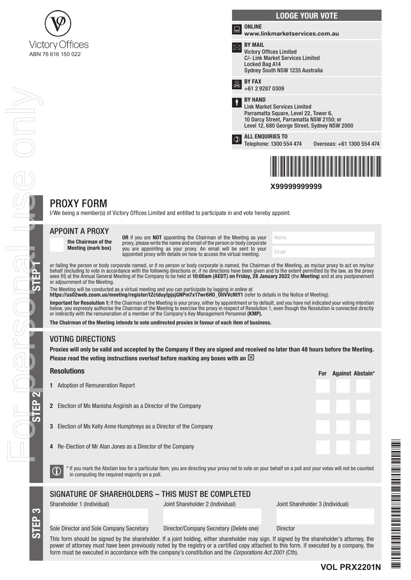

|   | <b>LODGE YOUR VOTE</b>                                                                                                                                                                     |
|---|--------------------------------------------------------------------------------------------------------------------------------------------------------------------------------------------|
| ⋿ | <b>ONLINE</b><br>www.linkmarketservices.com.au                                                                                                                                             |
|   | <b>BY MAIL</b><br><b>Victory Offices Limited</b><br>C/- Link Market Services Limited<br>Locked Bag A14<br>Sydney South NSW 1235 Australia                                                  |
| 昌 | <b>BY FAX</b><br>$+61292870309$                                                                                                                                                            |
| Ť | <b>RY HAND</b><br><b>Link Market Services Limited</b><br>Parramatta Square, Level 22, Tower 6,<br>10 Darcy Street, Parramatta NSW 2150; or<br>Level 12, 680 George Street, Sydney NSW 2000 |
|   | <b>ALL ENQUIRIES TO</b><br>Telephone: 1300 554 474<br>Overseas: +61 1300 554 474                                                                                                           |
|   |                                                                                                                                                                                            |

**X99999999999**

Name

Email

# PROXY FORM

I/We being a member(s) of Victory Offices Limited and entitled to participate in and vote hereby appoint:

# APPOINT A PROXY

the Chairman of the Meeting (mark box) OR if you are NOT appointing the Chairman of the Meeting as your proxy, please write the name and email of the person or body corporate you are appointing as your proxy. An email will be sent to your appointed proxy with details on how to access the virtual meeting.

or failing the person or body corporate named, or if no person or body corporate is named, the Chairman of the Meeting, as my/our proxy to act on my/our behalf (including to vote in accordance with the following directions or, if no directions have been given and to the extent permitted by the law, as the proxy sees fit) at the Annual General Meeting of the Company to be held at **10:00am (AEDT) on Friday, 28 January 2022** (the **Meeting**) and at any postponement or adjournment of the Meeting.

The Meeting will be conducted as a virtual meeting and you can participate by logging in online at

https://us02web.zoom.us/meeting/register/tZctduytpjsjGNPm7x17wr6HO\_OIIVVcNtY1 (refer to details in the Notice of Meeting).

Important for Resolution 1: If the Chairman of the Meeting is your proxy, either by appointment or by default, and you have not indicated your voting intention below, you expressly authorise the Chairman of the Meeting to exercise the proxy in respect of Resolution 1, even though the Resolution is connected directly or indirectly with the remuneration of a member of the Company's Key Management Personnel (KMP).

The Chairman of the Meeting intends to vote undirected proxies in favour of each item of business.

# VOTING DIRECTIONS

Proxies will only be valid and accepted by the Company if they are signed and received no later than 48 hours before the Meeting. Please read the voting instructions overleaf before marking any boxes with an  $\boxtimes$ 

#### **Resolutions**

STEP 1

For personal use only

KO MOGO M

Onde

|                                                                                                                                                                                                                              |                                                                           | <b>FUI</b> | Aydilist Abstalli |  |
|------------------------------------------------------------------------------------------------------------------------------------------------------------------------------------------------------------------------------|---------------------------------------------------------------------------|------------|-------------------|--|
|                                                                                                                                                                                                                              | <b>1</b> Adoption of Remuneration Report                                  |            |                   |  |
|                                                                                                                                                                                                                              | <b>2</b> Election of Ms Manisha Angirish as a Director of the Company     |            |                   |  |
|                                                                                                                                                                                                                              | <b>3</b> Election of Ms Kelly Anne Humphreys as a Director of the Company |            |                   |  |
|                                                                                                                                                                                                                              | <b>4</b> Re-Election of Mr Alan Jones as a Director of the Company        |            |                   |  |
| * If you mark the Abstain box for a particular Item, you are directing your proxy not to vote on your behalf on a poll and your votes will not be counted<br>$ \mathbb{G} $<br>in computing the required majority on a poll. |                                                                           |            |                   |  |

# SIGNATURE OF SHAREHOLDERS – THIS MUST BE COMPLETED

STEP 3

STEP 2

Shareholder 1 (Individual) Joint Shareholder 2 (Individual) Joint Shareholder 3 (Individual)

Sole Director and Sole Company Secretary Director/Company Secretary (Delete one) Director

This form should be signed by the shareholder. If a joint holding, either shareholder may sign. If signed by the shareholder's attorney, the power of attorney must have been previously noted by the registry or a certified copy attached to this form. If executed by a company, the form must be executed in accordance with the company's constitution and the *Corporations Act 2001* (Cth).



For Against Abstain\*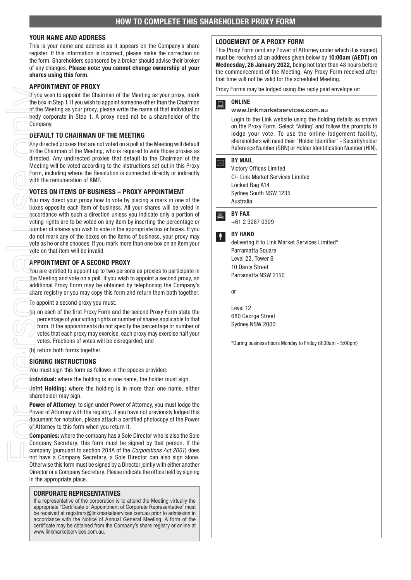#### YOUR NAME AND ADDRESS

This is your name and address as it appears on the Company's share register. If this information is incorrect, please make the correction on the form. Shareholders sponsored by a broker should advise their broker of any changes. Please note: you cannot change ownership of your shares using this form.

#### APPOINTMENT OF PROXY

If you wish to appoint the Chairman of the Meeting as your proxy, mark the box in Step 1. If you wish to appoint someone other than the Chairman of the Meeting as your proxy, please write the name of that individual or body corporate in Step 1. A proxy need not be a shareholder of the Company.

#### DEFAULT TO CHAIRMAN OF THE MEETING

Any directed proxies that are not voted on a poll at the Meeting will default to the Chairman of the Meeting, who is required to vote those proxies as directed. Any undirected proxies that default to the Chairman of the Meeting will be voted according to the instructions set out in this Proxy Form, including where the Resolution is connected directly or indirectly with the remuneration of KMP.

#### VOTES ON ITEMS OF BUSINESS – PROXY APPOINTMENT

You may direct your proxy how to vote by placing a mark in one of the boxes opposite each item of business. All your shares will be voted in accordance with such a direction unless you indicate only a portion of voting rights are to be voted on any item by inserting the percentage or number of shares you wish to vote in the appropriate box or boxes. If you do not mark any of the boxes on the items of business, your proxy may vote as he or she chooses. If you mark more than one box on an item your vote on that item will be invalid. For the body<br>
of the body<br>
of the body<br>
of the body<br>
of the body<br>
of the direct<br>
of the direct<br>
May dio the direct<br>
Metic<br>
Form, with t<br>
VOTE<br>
Vou in the saccer<br>
voiting<br>
cours<br>
correct<br>
of the Medditi<br>
saccer<br>
of the Madd

### APPOINTMENT OF A SECOND PROXY

You are entitled to appoint up to two persons as proxies to participate in the Meeting and vote on a poll. If you wish to appoint a second proxy, an additional Proxy Form may be obtained by telephoning the Company's share registry or you may copy this form and return them both together.

To appoint a second proxy you must:

(a) on each of the first Proxy Form and the second Proxy Form state the percentage of your voting rights or number of shares applicable to that form. If the appointments do not specify the percentage or number of votes that each proxy may exercise, each proxy may exercise half your votes. Fractions of votes will be disregarded; and

(b) return both forms together.

#### SIGNING INSTRUCTIONS

You must sign this form as follows in the spaces provided:

Individual: where the holding is in one name, the holder must sign.

Joint Holding: where the holding is in more than one name, either shareholder may sign.

Power of Attorney: to sign under Power of Attorney, you must lodge the Power of Attorney with the registry. If you have not previously lodged this document for notation, please attach a certified photocopy of the Power of Attorney to this form when you return it.

Companies: where the company has a Sole Director who is also the Sole Company Secretary, this form must be signed by that person. If the company (pursuant to section 204A of the *Corporations Act 2001*) does not have a Company Secretary, a Sole Director can also sign alone. Otherwise this form must be signed by a Director jointly with either another Director or a Company Secretary. Please indicate the office held by signing in the appropriate place.

#### CORPORATE REPRESENTATIVES

If a representative of the corporation is to attend the Meeting virtually the appropriate "Certificate of Appointment of Corporate Representative" must be received at registrars@linkmarketservices.com.au prior to admission in accordance with the Notice of Annual General Meeting. A form of the certificate may be obtained from the Company's share registry or online at www.linkmarketservices.com.au.

#### LODGEMENT OF A PROXY FORM

This Proxy Form (and any Power of Attorney under which it is signed) must be received at an address given below by 10:00am (AEDT) on Wednesday, 26 January 2022, being not later than 48 hours before the commencement of the Meeting. Any Proxy Form received after that time will not be valid for the scheduled Meeting.

Proxy Forms may be lodged using the reply paid envelope or:

# **Q** ONLINE

#### www.linkmarketservices.com.au

Login to the Link website using the holding details as shown on the Proxy Form. Select 'Voting' and follow the prompts to lodge your vote. To use the online lodgement facility, shareholders will need their "Holder Identifier" - Securityholder Reference Number (SRN) or Holder Identification Number (HIN).

# $\boxed{\boxtimes}$  BY MAIL

Victory Offices Limited C/- Link Market Services Limited Locked Bag A14 Sydney South NSW 1235 Australia

# **A** BY FAX

+61 2 9287 0309

# **BY HAND**

delivering it to Link Market Services Limited\* Parramatta Square Level 22, Tower 6 10 Darcy Street Parramatta NSW 2150

or

Level 12 680 George Street Sydney NSW 2000

\*During business hours Monday to Friday (9:00am - 5:00pm)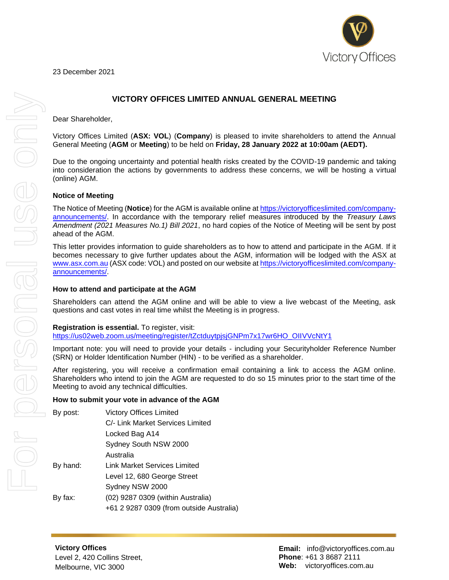

23 December 2021

# **VICTORY OFFICES LIMITED ANNUAL GENERAL MEETING**

Dear Shareholder,

Victory Offices Limited (**ASX: VOL**) (**Company**) is pleased to invite shareholders to attend the Annual General Meeting (**AGM** or **Meeting**) to be held on **Friday, 28 January 2022 at 10:00am (AEDT).**

Due to the ongoing uncertainty and potential health risks created by the COVID-19 pandemic and taking into consideration the actions by governments to address these concerns, we will be hosting a virtual (online) AGM.

### **Notice of Meeting**

The Notice of Meeting (**Notice**) for the AGM is available online at [https://victoryofficeslimited.com/company](https://victoryofficeslimited.com/company-announcements/)[announcements/.](https://victoryofficeslimited.com/company-announcements/) In accordance with the temporary relief measures introduced by the *Treasury Laws Amendment (2021 Measures No.1) Bill 2021*, no hard copies of the Notice of Meeting will be sent by post ahead of the AGM.

This letter provides information to guide shareholders as to how to attend and participate in the AGM. If it becomes necessary to give further updates about the AGM, information will be lodged with the ASX at [www.asx.com.au \(](http://www.asx.com.au/)ASX code: VOL) and posted on our website at [https://victoryofficeslimited.com/company](https://victoryofficeslimited.com/company-announcements/)[announcements/.](https://victoryofficeslimited.com/company-announcements/)

#### **How to attend and participate at the AGM**

Shareholders can attend the AGM online and will be able to view a live webcast of the Meeting, ask questions and cast votes in real time whilst the Meeting is in progress.

#### **Registration is essential.** To register, visit:

[https://us02web.zoom.us/meeting/register/tZctduytpjsjGNPm7x17wr6HO\\_OIIVVcNtY1](https://us02web.zoom.us/meeting/register/tZctduytpjsjGNPm7x17wr6HO_OIIVVcNtY1)

Important note: you will need to provide your details - including your Securityholder Reference Number (SRN) or Holder Identification Number (HIN) - to be verified as a shareholder.

After registering, you will receive a confirmation email containing a link to access the AGM online. Shareholders who intend to join the AGM are requested to do so 15 minutes prior to the start time of the Meeting to avoid any technical difficulties.

#### **How to submit your vote in advance of the AGM**

| By post: | <b>Victory Offices Limited</b>           |
|----------|------------------------------------------|
|          | C/- Link Market Services Limited         |
|          | Locked Bag A14                           |
|          | Sydney South NSW 2000                    |
|          | Australia                                |
| By hand: | <b>Link Market Services Limited</b>      |
|          | Level 12, 680 George Street              |
|          | Sydney NSW 2000                          |
| By fax:  | (02) 9287 0309 (within Australia)        |
|          | +61 2 9287 0309 (from outside Australia) |

**Victory Offices**  Level 2, 420 Collins Street, Melbourne, VIC 3000